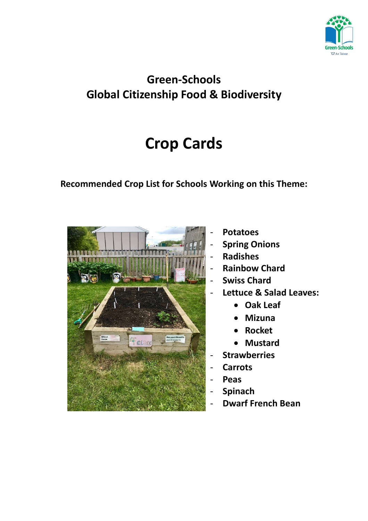

## **Green-Schools Global Citizenship Food & Biodiversity**

# **Crop Cards**

### **Recommended Crop List for Schools Working on this Theme:**



- **Potatoes**
- **Spring Onions**
- **Radishes**
- **Rainbow Chard**
- **Swiss Chard**
- **Lettuce & Salad Leaves:**
	- **Oak Leaf**
	- **Mizuna**
	- **Rocket**
	- **Mustard**
- **Strawberries**
- **Carrots**
- **Peas**
- **Spinach**
- **Dwarf French Bean**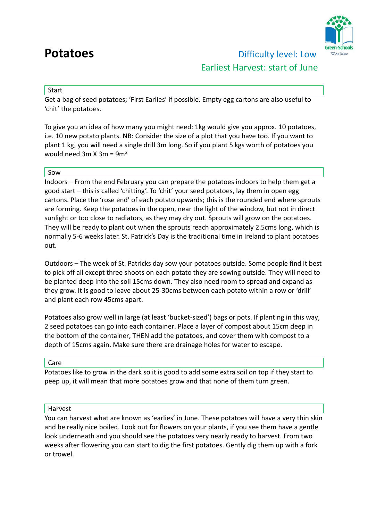

### **Potatoes Difficulty level: Low** Earliest Harvest: start of June

### Start

Get a bag of seed potatoes; 'First Earlies' if possible. Empty egg cartons are also useful to 'chit' the potatoes.

To give you an idea of how many you might need: 1kg would give you approx. 10 potatoes, i.e. 10 new potato plants. NB: Consider the size of a plot that you have too. If you want to plant 1 kg, you will need a single drill 3m long. So if you plant 5 kgs worth of potatoes you would need 3m  $X$  3m = 9m<sup>2</sup>

### Sow

Indoors – From the end February you can prepare the potatoes indoors to help them get a good start – this is called 'chitting'. To 'chit' your seed potatoes, lay them in open egg cartons. Place the 'rose end' of each potato upwards; this is the rounded end where sprouts are forming. Keep the potatoes in the open, near the light of the window, but not in direct sunlight or too close to radiators, as they may dry out. Sprouts will grow on the potatoes. They will be ready to plant out when the sprouts reach approximately 2.5cms long, which is normally 5-6 weeks later. St. Patrick's Day is the traditional time in Ireland to plant potatoes out.

Outdoors – The week of St. Patricks day sow your potatoes outside. Some people find it best to pick off all except three shoots on each potato they are sowing outside. They will need to be planted deep into the soil 15cms down. They also need room to spread and expand as they grow. It is good to leave about 25-30cms between each potato within a row or 'drill' and plant each row 45cms apart.

Potatoes also grow well in large (at least 'bucket-sized') bags or pots. If planting in this way, 2 seed potatoes can go into each container. Place a layer of compost about 15cm deep in the bottom of the container, THEN add the potatoes, and cover them with compost to a depth of 15cms again. Make sure there are drainage holes for water to escape.

### Care

Potatoes like to grow in the dark so it is good to add some extra soil on top if they start to peep up, it will mean that more potatoes grow and that none of them turn green.

### Harvest

You can harvest what are known as 'earlies' in June. These potatoes will have a very thin skin and be really nice boiled. Look out for flowers on your plants, if you see them have a gentle look underneath and you should see the potatoes very nearly ready to harvest. From two weeks after flowering you can start to dig the first potatoes. Gently dig them up with a fork or trowel.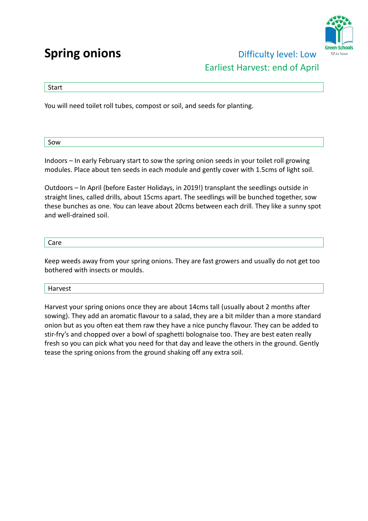## **Spring onions Difficulty level: Low**



# Earliest Harvest: end of April

### Start

You will need toilet roll tubes, compost or soil, and seeds for planting.

Sow

Indoors – In early February start to sow the spring onion seeds in your toilet roll growing modules. Place about ten seeds in each module and gently cover with 1.5cms of light soil.

Outdoors – In April (before Easter Holidays, in 2019!) transplant the seedlings outside in straight lines, called drills, about 15cms apart. The seedlings will be bunched together, sow these bunches as one. You can leave about 20cms between each drill. They like a sunny spot and well-drained soil.

### Care

Keep weeds away from your spring onions. They are fast growers and usually do not get too bothered with insects or moulds.

### Harvest

Harvest your spring onions once they are about 14cms tall (usually about 2 months after sowing). They add an aromatic flavour to a salad, they are a bit milder than a more standard onion but as you often eat them raw they have a nice punchy flavour. They can be added to stir-fry's and chopped over a bowl of spaghetti bolognaise too. They are best eaten really fresh so you can pick what you need for that day and leave the others in the ground. Gently tease the spring onions from the ground shaking off any extra soil.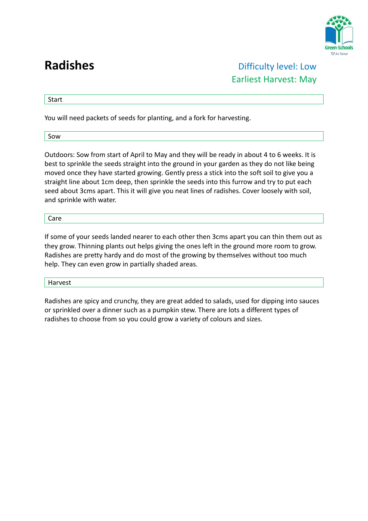

**Radishes Difficulty level: Low** Earliest Harvest: May

**Start** 

You will need packets of seeds for planting, and a fork for harvesting.

Sow

Outdoors: Sow from start of April to May and they will be ready in about 4 to 6 weeks. It is best to sprinkle the seeds straight into the ground in your garden as they do not like being moved once they have started growing. Gently press a stick into the soft soil to give you a straight line about 1cm deep, then sprinkle the seeds into this furrow and try to put each seed about 3cms apart. This it will give you neat lines of radishes. Cover loosely with soil, and sprinkle with water.

Care

If some of your seeds landed nearer to each other then 3cms apart you can thin them out as they grow. Thinning plants out helps giving the ones left in the ground more room to grow. Radishes are pretty hardy and do most of the growing by themselves without too much help. They can even grow in partially shaded areas.

Harvest

Radishes are spicy and crunchy, they are great added to salads, used for dipping into sauces or sprinkled over a dinner such as a pumpkin stew. There are lots a different types of radishes to choose from so you could grow a variety of colours and sizes.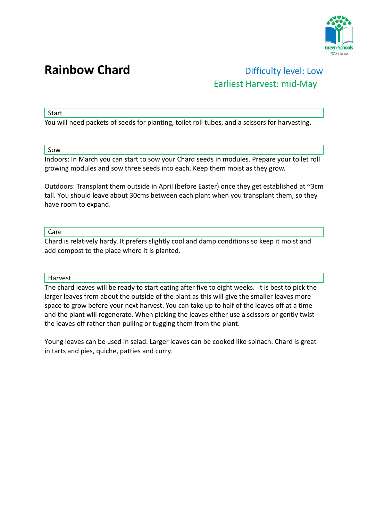

## **Rainbow Chard Difficulty level: Low** Earliest Harvest: mid-May

Start

You will need packets of seeds for planting, toilet roll tubes, and a scissors for harvesting.

Sow

Indoors: In March you can start to sow your Chard seeds in modules. Prepare your toilet roll growing modules and sow three seeds into each. Keep them moist as they grow.

Outdoors: Transplant them outside in April (before Easter) once they get established at ~3cm tall. You should leave about 30cms between each plant when you transplant them, so they have room to expand.

Care

Chard is relatively hardy. It prefers slightly cool and damp conditions so keep it moist and add compost to the place where it is planted.

Harvest

The chard leaves will be ready to start eating after five to eight weeks. It is best to pick the larger leaves from about the outside of the plant as this will give the smaller leaves more space to grow before your next harvest. You can take up to half of the leaves off at a time and the plant will regenerate. When picking the leaves either use a scissors or gently twist the leaves off rather than pulling or tugging them from the plant.

Young leaves can be used in salad. Larger leaves can be cooked like spinach. Chard is great in tarts and pies, quiche, patties and curry.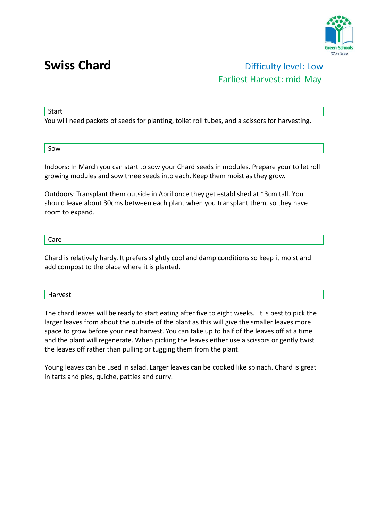

### **Swiss Chard Chard Chard Chard Chard Chard Chard Chard Chard Chard Chard Chard Chard Chard Chard Chard Chard Chard Chard Chard Chard Chard Chard Chard Chard Chard Chard** Earliest Harvest: mid-May

**Start** 

You will need packets of seeds for planting, toilet roll tubes, and a scissors for harvesting.

Sow

Indoors: In March you can start to sow your Chard seeds in modules. Prepare your toilet roll growing modules and sow three seeds into each. Keep them moist as they grow.

Outdoors: Transplant them outside in April once they get established at ~3cm tall. You should leave about 30cms between each plant when you transplant them, so they have room to expand.

Care

Chard is relatively hardy. It prefers slightly cool and damp conditions so keep it moist and add compost to the place where it is planted.

Harvest

The chard leaves will be ready to start eating after five to eight weeks. It is best to pick the larger leaves from about the outside of the plant as this will give the smaller leaves more space to grow before your next harvest. You can take up to half of the leaves off at a time and the plant will regenerate. When picking the leaves either use a scissors or gently twist the leaves off rather than pulling or tugging them from the plant.

Young leaves can be used in salad. Larger leaves can be cooked like spinach. Chard is great in tarts and pies, quiche, patties and curry.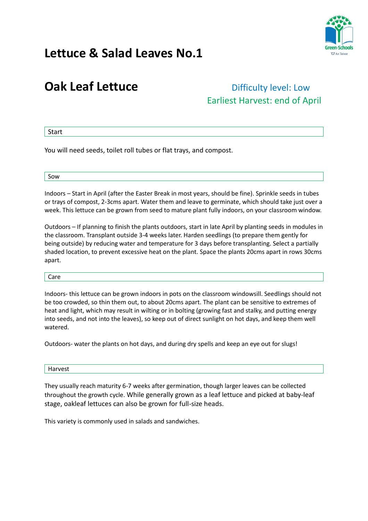

## **Lettuce & Salad Leaves No.1**

## **Oak Leaf Lettuce Difficulty level: Low**

# Earliest Harvest: end of April

**Start** 

You will need seeds, toilet roll tubes or flat trays, and compost.

Sow

Indoors – Start in April (after the Easter Break in most years, should be fine). Sprinkle seeds in tubes or trays of compost, 2-3cms apart. Water them and leave to germinate, which should take just over a week. This lettuce can be grown from seed to mature plant fully indoors, on your classroom window.

Outdoors – If planning to finish the plants outdoors, start in late April by planting seeds in modules in the classroom. Transplant outside 3-4 weeks later. Harden seedlings (to prepare them gently for being outside) by reducing water and temperature for 3 days before transplanting. Select a partially shaded location, to prevent excessive heat on the plant. Space the plants 20cms apart in rows 30cms apart.

Care

Indoors- this lettuce can be grown indoors in pots on the classroom windowsill. Seedlings should not be too crowded, so thin them out, to about 20cms apart. The plant can be sensitive to extremes of heat and light, which may result in wilting or in bolting (growing fast and stalky, and putting energy into seeds, and not into the leaves), so keep out of direct sunlight on hot days, and keep them well watered.

Outdoors- water the plants on hot days, and during dry spells and keep an eye out for slugs!

Harvest

They usually reach maturity 6-7 weeks after germination, though larger leaves can be collected throughout the growth cycle. While generally grown as a leaf lettuce and picked at baby-leaf stage, oakleaf lettuces can also be grown for full-size heads.

This variety is commonly used in salads and sandwiches.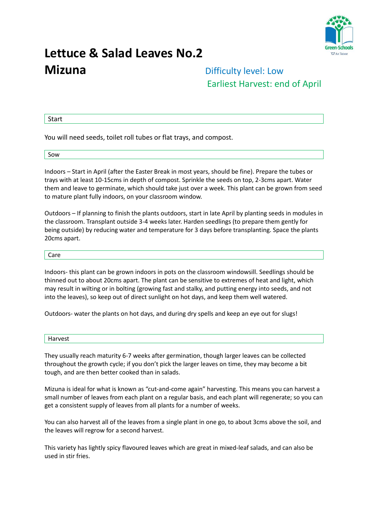

## **Lettuce & Salad Leaves No.2 Mizuna Difficulty level: Low**

# Earliest Harvest: end of April

Start

You will need seeds, toilet roll tubes or flat trays, and compost.

Sow

Indoors – Start in April (after the Easter Break in most years, should be fine). Prepare the tubes or trays with at least 10-15cms in depth of compost. Sprinkle the seeds on top, 2-3cms apart. Water them and leave to germinate, which should take just over a week. This plant can be grown from seed to mature plant fully indoors, on your classroom window.

Outdoors – If planning to finish the plants outdoors, start in late April by planting seeds in modules in the classroom. Transplant outside 3-4 weeks later. Harden seedlings (to prepare them gently for being outside) by reducing water and temperature for 3 days before transplanting. Space the plants 20cms apart.

#### Care

Indoors- this plant can be grown indoors in pots on the classroom windowsill. Seedlings should be thinned out to about 20cms apart. The plant can be sensitive to extremes of heat and light, which may result in wilting or in bolting (growing fast and stalky, and putting energy into seeds, and not into the leaves), so keep out of direct sunlight on hot days, and keep them well watered.

Outdoors- water the plants on hot days, and during dry spells and keep an eye out for slugs!

#### Harvest

They usually reach maturity 6-7 weeks after germination, though larger leaves can be collected throughout the growth cycle; if you don't pick the larger leaves on time, they may become a bit tough, and are then better cooked than in salads.

Mizuna is ideal for what is known as "cut-and-come again" harvesting. This means you can harvest a small number of leaves from each plant on a regular basis, and each plant will regenerate; so you can get a consistent supply of leaves from all plants for a number of weeks.

You can also harvest all of the leaves from a single plant in one go, to about 3cms above the soil, and the leaves will regrow for a second harvest.

This variety has lightly spicy flavoured leaves which are great in mixed-leaf salads, and can also be used in stir fries.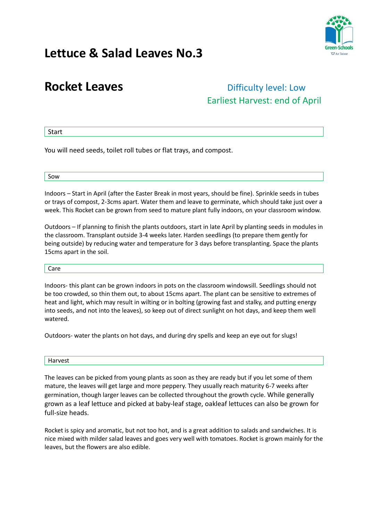

## **Lettuce & Salad Leaves No.3**

## **Rocket Leaves Difficulty level: Low** Earliest Harvest: end of April

### Start

You will need seeds, toilet roll tubes or flat trays, and compost.

#### Sow

Indoors – Start in April (after the Easter Break in most years, should be fine). Sprinkle seeds in tubes or trays of compost, 2-3cms apart. Water them and leave to germinate, which should take just over a week. This Rocket can be grown from seed to mature plant fully indoors, on your classroom window.

Outdoors – If planning to finish the plants outdoors, start in late April by planting seeds in modules in the classroom. Transplant outside 3-4 weeks later. Harden seedlings (to prepare them gently for being outside) by reducing water and temperature for 3 days before transplanting. Space the plants 15cms apart in the soil.

#### Care

Indoors- this plant can be grown indoors in pots on the classroom windowsill. Seedlings should not be too crowded, so thin them out, to about 15cms apart. The plant can be sensitive to extremes of heat and light, which may result in wilting or in bolting (growing fast and stalky, and putting energy into seeds, and not into the leaves), so keep out of direct sunlight on hot days, and keep them well watered.

Outdoors- water the plants on hot days, and during dry spells and keep an eye out for slugs!

#### Harvest

The leaves can be picked from young plants as soon as they are ready but if you let some of them mature, the leaves will get large and more peppery. They usually reach maturity 6-7 weeks after germination, though larger leaves can be collected throughout the growth cycle. While generally grown as a leaf lettuce and picked at baby-leaf stage, oakleaf lettuces can also be grown for full-size heads.

Rocket is spicy and aromatic, but not too hot, and is a great addition to salads and sandwiches. It is nice mixed with milder salad leaves and goes very well with tomatoes. Rocket is grown mainly for the leaves, but the flowers are also edible.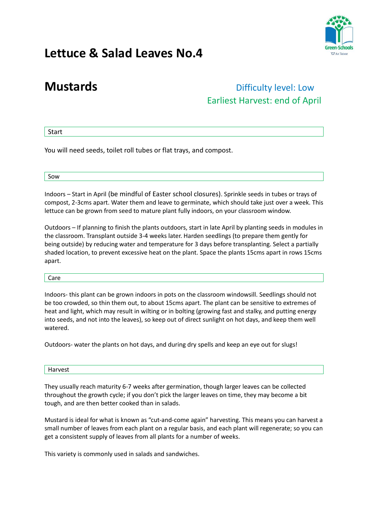

## **Lettuce & Salad Leaves No.4**

### **Mustards Contract Exercise 2018 Difficulty level: Low** Earliest Harvest: end of April

### Start

You will need seeds, toilet roll tubes or flat trays, and compost.

Sow

Indoors – Start in April (be mindful of Easter school closures). Sprinkle seeds in tubes or trays of compost, 2-3cms apart. Water them and leave to germinate, which should take just over a week. This lettuce can be grown from seed to mature plant fully indoors, on your classroom window.

Outdoors – If planning to finish the plants outdoors, start in late April by planting seeds in modules in the classroom. Transplant outside 3-4 weeks later. Harden seedlings (to prepare them gently for being outside) by reducing water and temperature for 3 days before transplanting. Select a partially shaded location, to prevent excessive heat on the plant. Space the plants 15cms apart in rows 15cms apart.

Care

Indoors- this plant can be grown indoors in pots on the classroom windowsill. Seedlings should not be too crowded, so thin them out, to about 15cms apart. The plant can be sensitive to extremes of heat and light, which may result in wilting or in bolting (growing fast and stalky, and putting energy into seeds, and not into the leaves), so keep out of direct sunlight on hot days, and keep them well watered.

Outdoors- water the plants on hot days, and during dry spells and keep an eye out for slugs!

### Harvest

They usually reach maturity 6-7 weeks after germination, though larger leaves can be collected throughout the growth cycle; if you don't pick the larger leaves on time, they may become a bit tough, and are then better cooked than in salads.

Mustard is ideal for what is known as "cut-and-come again" harvesting. This means you can harvest a small number of leaves from each plant on a regular basis, and each plant will regenerate; so you can get a consistent supply of leaves from all plants for a number of weeks.

This variety is commonly used in salads and sandwiches.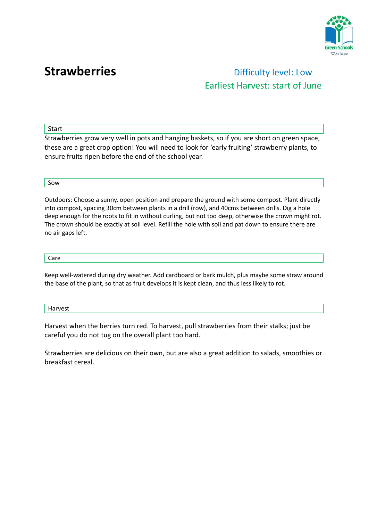

## **Strawberries Difficulty level: Low** Earliest Harvest: start of June

Start

Strawberries grow very well in pots and hanging baskets, so if you are short on green space, these are a great crop option! You will need to look for 'early fruiting' strawberry plants, to ensure fruits ripen before the end of the school year.

Sow

Outdoors: Choose a sunny, open position and prepare the ground with some compost. Plant directly into compost, spacing 30cm between plants in a drill (row), and 40cms between drills. Dig a hole deep enough for the roots to fit in without curling, but not too deep, otherwise the crown might rot. The crown should be exactly at soil level. Refill the hole with soil and pat down to ensure there are no air gaps left.

Care

Keep well-watered during dry weather. Add cardboard or bark mulch, plus maybe some straw around the base of the plant, so that as fruit develops it is kept clean, and thus less likely to rot.

Harvest

Harvest when the berries turn red. To harvest, pull strawberries from their stalks; just be careful you do not tug on the overall plant too hard.

Strawberries are delicious on their own, but are also a great addition to salads, smoothies or breakfast cereal.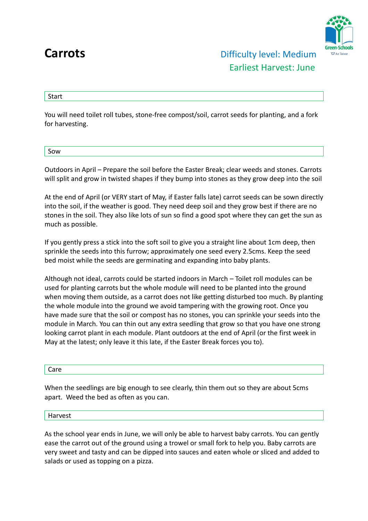

Start

You will need toilet roll tubes, stone-free compost/soil, carrot seeds for planting, and a fork for harvesting.

| ---<br><b>NOC</b> |  |  |
|-------------------|--|--|
|                   |  |  |

Outdoors in April – Prepare the soil before the Easter Break; clear weeds and stones. Carrots will split and grow in twisted shapes if they bump into stones as they grow deep into the soil

At the end of April (or VERY start of May, if Easter falls late) carrot seeds can be sown directly into the soil, if the weather is good. They need deep soil and they grow best if there are no stones in the soil. They also like lots of sun so find a good spot where they can get the sun as much as possible.

If you gently press a stick into the soft soil to give you a straight line about 1cm deep, then sprinkle the seeds into this furrow; approximately one seed every 2.5cms. Keep the seed bed moist while the seeds are germinating and expanding into baby plants.

Although not ideal, carrots could be started indoors in March – Toilet roll modules can be used for planting carrots but the whole module will need to be planted into the ground when moving them outside, as a carrot does not like getting disturbed too much. By planting the whole module into the ground we avoid tampering with the growing root. Once you have made sure that the soil or compost has no stones, you can sprinkle your seeds into the module in March. You can thin out any extra seedling that grow so that you have one strong looking carrot plant in each module. Plant outdoors at the end of April (or the first week in May at the latest; only leave it this late, if the Easter Break forces you to).

Care

When the seedlings are big enough to see clearly, thin them out so they are about 5cms apart. Weed the bed as often as you can.

Harvest

As the school year ends in June, we will only be able to harvest baby carrots. You can gently ease the carrot out of the ground using a trowel or small fork to help you. Baby carrots are very sweet and tasty and can be dipped into sauces and eaten whole or sliced and added to salads or used as topping on a pizza.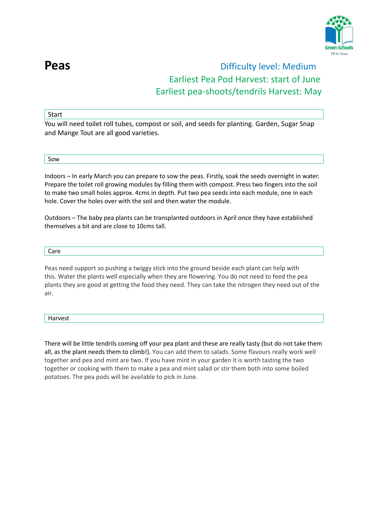

### **Peas Peas Difficulty level:** Medium Earliest Pea Pod Harvest: start of June Earliest pea-shoots/tendrils Harvest: May

### **Start**

You will need toilet roll tubes, compost or soil, and seeds for planting. Garden, Sugar Snap and Mange Tout are all good varieties.

Sow

Indoors – In early March you can prepare to sow the peas. Firstly, soak the seeds overnight in water. Prepare the toilet roll growing modules by filling them with compost. Press two fingers into the soil to make two small holes approx. 4cms in depth. Put two pea seeds into each module, one in each hole. Cover the holes over with the soil and then water the module.

Outdoors – The baby pea plants can be transplanted outdoors in April once they have established themselves a bit and are close to 10cms tall.

#### Care

Peas need support so pushing a twiggy stick into the ground beside each plant can help with this. Water the plants well especially when they are flowering. You do not need to feed the pea plants they are good at getting the food they need. They can take the nitrogen they need out of the air.

#### Harvest

There will be little tendrils coming off your pea plant and these are really tasty (but do not take them all, as the plant needs them to climb!). You can add them to salads. Some flavours really work well together and pea and mint are two. If you have mint in your garden it is worth tasting the two together or cooking with them to make a pea and mint salad or stir them both into some boiled potatoes. The pea pods will be available to pick in June.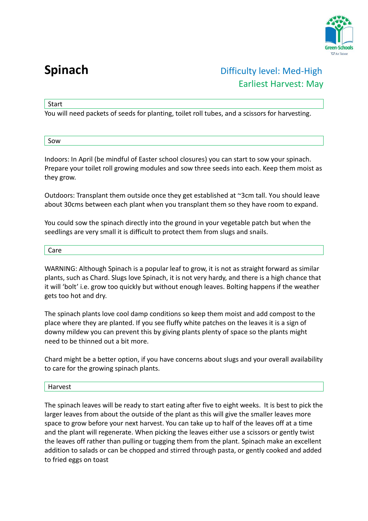

### **Spinach Company Company Difficulty level: Med-High** Earliest Harvest: May

Start

You will need packets of seeds for planting, toilet roll tubes, and a scissors for harvesting.

Sow

Indoors: In April (be mindful of Easter school closures) you can start to sow your spinach. Prepare your toilet roll growing modules and sow three seeds into each. Keep them moist as they grow.

Outdoors: Transplant them outside once they get established at ~3cm tall. You should leave about 30cms between each plant when you transplant them so they have room to expand.

You could sow the spinach directly into the ground in your vegetable patch but when the seedlings are very small it is difficult to protect them from slugs and snails.

Care

WARNING: Although Spinach is a popular leaf to grow, it is not as straight forward as similar plants, such as Chard. Slugs love Spinach, it is not very hardy, and there is a high chance that it will 'bolt' i.e. grow too quickly but without enough leaves. Bolting happens if the weather gets too hot and dry.

The spinach plants love cool damp conditions so keep them moist and add compost to the place where they are planted. If you see fluffy white patches on the leaves it is a sign of downy mildew you can prevent this by giving plants plenty of space so the plants might need to be thinned out a bit more.

Chard might be a better option, if you have concerns about slugs and your overall availability to care for the growing spinach plants.

Harvest

The spinach leaves will be ready to start eating after five to eight weeks. It is best to pick the larger leaves from about the outside of the plant as this will give the smaller leaves more space to grow before your next harvest. You can take up to half of the leaves off at a time and the plant will regenerate. When picking the leaves either use a scissors or gently twist the leaves off rather than pulling or tugging them from the plant. Spinach make an excellent addition to salads or can be chopped and stirred through pasta, or gently cooked and added to fried eggs on toast